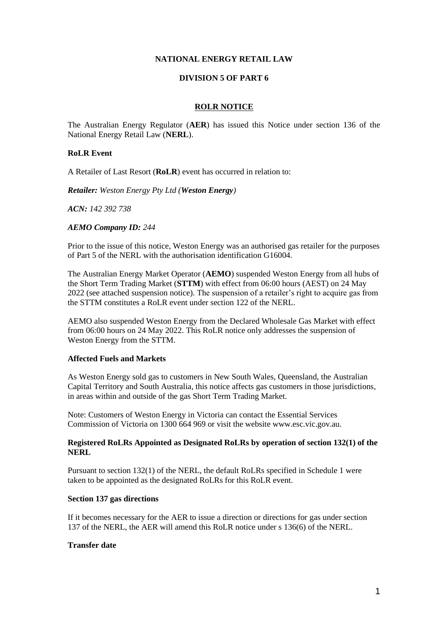### **NATIONAL ENERGY RETAIL LAW**

## **DIVISION 5 OF PART 6**

#### **ROLR NOTICE**

The Australian Energy Regulator (**AER**) has issued this Notice under section 136 of the National Energy Retail Law (**NERL**).

## **RoLR Event**

A Retailer of Last Resort (**RoLR**) event has occurred in relation to:

*Retailer: Weston Energy Pty Ltd (Weston Energy)* 

*ACN: 142 392 738*

#### *AEMO Company ID: 244*

Prior to the issue of this notice, Weston Energy was an authorised gas retailer for the purposes of Part 5 of the NERL with the authorisation identification G16004.

The Australian Energy Market Operator (**AEMO**) suspended Weston Energy from all hubs of the Short Term Trading Market (**STTM**) with effect from 06:00 hours (AEST) on 24 May 2022 (see attached suspension notice). The suspension of a retailer's right to acquire gas from the STTM constitutes a RoLR event under section 122 of the NERL.

AEMO also suspended Weston Energy from the Declared Wholesale Gas Market with effect from 06:00 hours on 24 May 2022. This RoLR notice only addresses the suspension of Weston Energy from the STTM.

### **Affected Fuels and Markets**

As Weston Energy sold gas to customers in New South Wales, Queensland, the Australian Capital Territory and South Australia, this notice affects gas customers in those jurisdictions, in areas within and outside of the gas Short Term Trading Market.

Note: Customers of Weston Energy in Victoria can contact the Essential Services Commission of Victoria on 1300 664 969 or visit the website www.esc.vic.gov.au.

#### **Registered RoLRs Appointed as Designated RoLRs by operation of section 132(1) of the NERL**

Pursuant to section 132(1) of the NERL, the default RoLRs specified in Schedule 1 were taken to be appointed as the designated RoLRs for this RoLR event.

## **Section 137 gas directions**

If it becomes necessary for the AER to issue a direction or directions for gas under section 137 of the NERL, the AER will amend this RoLR notice under s 136(6) of the NERL.

## **Transfer date**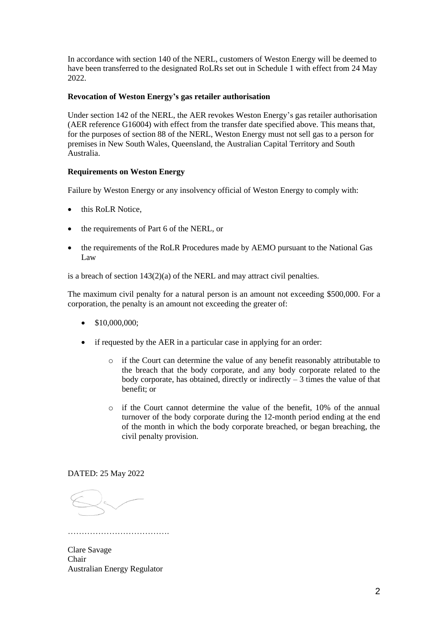In accordance with section 140 of the NERL, customers of Weston Energy will be deemed to have been transferred to the designated RoLRs set out in Schedule 1 with effect from 24 May 2022.

# **Revocation of Weston Energy's gas retailer authorisation**

Under section 142 of the NERL, the AER revokes Weston Energy's gas retailer authorisation (AER reference G16004) with effect from the transfer date specified above. This means that, for the purposes of section 88 of the NERL, Weston Energy must not sell gas to a person for premises in New South Wales, Queensland, the Australian Capital Territory and South Australia.

# **Requirements on Weston Energy**

Failure by Weston Energy or any insolvency official of Weston Energy to comply with:

- this RoLR Notice.
- the requirements of Part 6 of the NERL, or
- the requirements of the RoLR Procedures made by AEMO pursuant to the National Gas Law

is a breach of section 143(2)(a) of the NERL and may attract civil penalties.

The maximum civil penalty for a natural person is an amount not exceeding \$500,000. For a corporation, the penalty is an amount not exceeding the greater of:

- \$10,000,000;
- if requested by the AER in a particular case in applying for an order:
	- o if the Court can determine the value of any benefit reasonably attributable to the breach that the body corporate, and any body corporate related to the body corporate, has obtained, directly or indirectly  $-3$  times the value of that benefit; or
	- o if the Court cannot determine the value of the benefit, 10% of the annual turnover of the body corporate during the 12-month period ending at the end of the month in which the body corporate breached, or began breaching, the civil penalty provision.

DATED: 25 May 2022

Clare Savage Chair Australian Energy Regulator

……………………………….